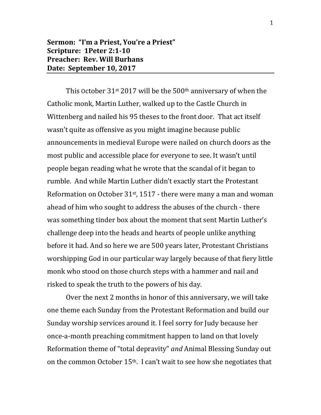## **Sermon: "I'm a Priest, You're a Priest" Scripture: 1Peter 2:1-10 Preacher: Rev. Will Burhans Date: September 10, 2017**

This October  $31$ <sup>st</sup> 2017 will be the 500<sup>th</sup> anniversary of when the Catholic monk, Martin Luther, walked up to the Castle Church in Wittenberg and nailed his 95 theses to the front door. That act itself wasn't quite as offensive as you might imagine because public announcements in medieval Europe were nailed on church doors as the most public and accessible place for everyone to see. It wasn't until people began reading what he wrote that the scandal of it began to rumble. And while Martin Luther didn't exactly start the Protestant Reformation on October  $31st$ , 1517 - there were many a man and woman ahead of him who sought to address the abuses of the church - there was something tinder box about the moment that sent Martin Luther's challenge deep into the heads and hearts of people unlike anything before it had. And so here we are 500 years later, Protestant Christians worshipping God in our particular way largely because of that fiery little monk who stood on those church steps with a hammer and nail and risked to speak the truth to the powers of his day.

Over the next 2 months in honor of this anniversary, we will take one theme each Sunday from the Protestant Reformation and build our Sunday worship services around it. I feel sorry for Judy because her once-a-month preaching commitment happen to land on that lovely Reformation theme of "total depravity" *and* Animal Blessing Sunday out on the common October 15th. I can't wait to see how she negotiates that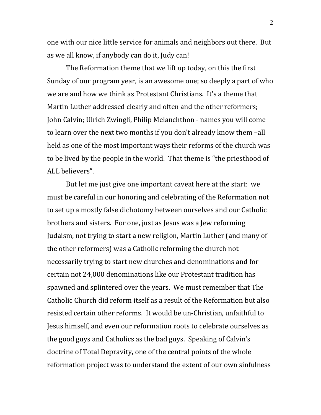one with our nice little service for animals and neighbors out there. But as we all know, if anybody can do it, Judy can!

The Reformation theme that we lift up today, on this the first Sunday of our program year, is an awesome one; so deeply a part of who we are and how we think as Protestant Christians. It's a theme that Martin Luther addressed clearly and often and the other reformers; John Calvin; Ulrich Zwingli, Philip Melanchthon - names you will come to learn over the next two months if you don't already know them –all held as one of the most important ways their reforms of the church was to be lived by the people in the world. That theme is "the priesthood of ALL believers".

But let me just give one important caveat here at the start: we must be careful in our honoring and celebrating of the Reformation not to set up a mostly false dichotomy between ourselves and our Catholic brothers and sisters. For one, just as Jesus was a Jew reforming Judaism, not trying to start a new religion, Martin Luther (and many of the other reformers) was a Catholic reforming the church not necessarily trying to start new churches and denominations and for certain not 24,000 denominations like our Protestant tradition has spawned and splintered over the years. We must remember that The Catholic Church did reform itself as a result of the Reformation but also resisted certain other reforms. It would be un-Christian, unfaithful to Jesus himself, and even our reformation roots to celebrate ourselves as the good guys and Catholics as the bad guys. Speaking of Calvin's doctrine of Total Depravity, one of the central points of the whole reformation project was to understand the extent of our own sinfulness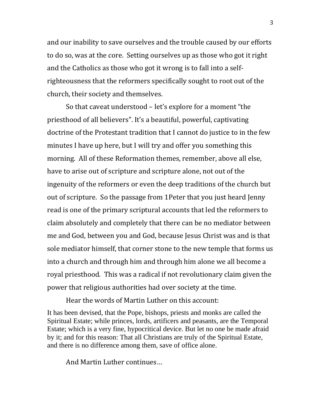and our inability to save ourselves and the trouble caused by our efforts to do so, was at the core. Setting ourselves up as those who got it right and the Catholics as those who got it wrong is to fall into a selfrighteousness that the reformers specifically sought to root out of the church, their society and themselves.

So that caveat understood – let's explore for a moment "the priesthood of all believers". It's a beautiful, powerful, captivating doctrine of the Protestant tradition that I cannot do justice to in the few minutes I have up here, but I will try and offer you something this morning. All of these Reformation themes, remember, above all else, have to arise out of scripture and scripture alone, not out of the ingenuity of the reformers or even the deep traditions of the church but out of scripture. So the passage from 1Peter that you just heard Jenny read is one of the primary scriptural accounts that led the reformers to claim absolutely and completely that there can be no mediator between me and God, between you and God, because Jesus Christ was and is that sole mediator himself, that corner stone to the new temple that forms us into a church and through him and through him alone we all become a royal priesthood. This was a radical if not revolutionary claim given the power that religious authorities had over society at the time.

Hear the words of Martin Luther on this account:

It has been devised, that the Pope, bishops, priests and monks are called the Spiritual Estate; while princes, lords, artificers and peasants, are the Temporal Estate; which is a very fine, hypocritical device. But let no one be made afraid by it; and for this reason: That all Christians are truly of the Spiritual Estate, and there is no difference among them, save of office alone.

And Martin Luther continues…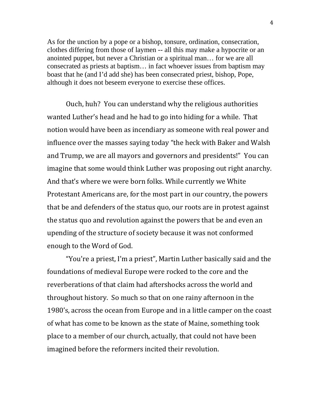As for the unction by a pope or a bishop, tonsure, ordination, consecration, clothes differing from those of laymen -- all this may make a hypocrite or an anointed puppet, but never a Christian or a spiritual man… for we are all consecrated as priests at baptism… in fact whoever issues from baptism may boast that he (and I'd add she) has been consecrated priest, bishop, Pope, although it does not beseem everyone to exercise these offices.

Ouch, huh? You can understand why the religious authorities wanted Luther's head and he had to go into hiding for a while. That notion would have been as incendiary as someone with real power and influence over the masses saying today "the heck with Baker and Walsh and Trump, we are all mayors and governors and presidents!" You can imagine that some would think Luther was proposing out right anarchy. And that's where we were born folks. While currently we White Protestant Americans are, for the most part in our country, the powers that be and defenders of the status quo, our roots are in protest against the status quo and revolution against the powers that be and even an upending of the structure of society because it was not conformed enough to the Word of God.

"You're a priest, I'm a priest", Martin Luther basically said and the foundations of medieval Europe were rocked to the core and the reverberations of that claim had aftershocks across the world and throughout history. So much so that on one rainy afternoon in the 1980's, across the ocean from Europe and in a little camper on the coast of what has come to be known as the state of Maine, something took place to a member of our church, actually, that could not have been imagined before the reformers incited their revolution.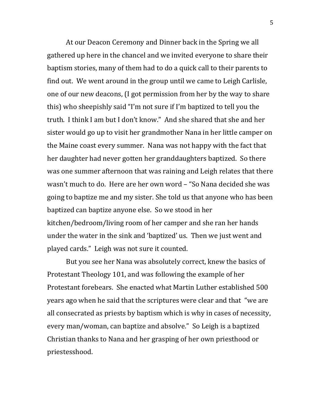At our Deacon Ceremony and Dinner back in the Spring we all gathered up here in the chancel and we invited everyone to share their baptism stories, many of them had to do a quick call to their parents to find out. We went around in the group until we came to Leigh Carlisle, one of our new deacons, (I got permission from her by the way to share this) who sheepishly said "I'm not sure if I'm baptized to tell you the truth. I think I am but I don't know." And she shared that she and her sister would go up to visit her grandmother Nana in her little camper on the Maine coast every summer. Nana was not happy with the fact that her daughter had never gotten her granddaughters baptized. So there was one summer afternoon that was raining and Leigh relates that there wasn't much to do. Here are her own word – "So Nana decided she was going to baptize me and my sister. She told us that anyone who has been baptized can baptize anyone else. So we stood in her kitchen/bedroom/living room of her camper and she ran her hands under the water in the sink and 'baptized' us. Then we just went and played cards." Leigh was not sure it counted.

But you see her Nana was absolutely correct, knew the basics of Protestant Theology 101, and was following the example of her Protestant forebears. She enacted what Martin Luther established 500 years ago when he said that the scriptures were clear and that "we are all consecrated as priests by baptism which is why in cases of necessity, every man/woman, can baptize and absolve." So Leigh is a baptized Christian thanks to Nana and her grasping of her own priesthood or priestesshood.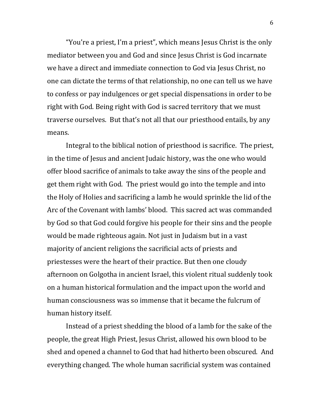"You're a priest, I'm a priest", which means Jesus Christ is the only mediator between you and God and since Jesus Christ is God incarnate we have a direct and immediate connection to God via Jesus Christ, no one can dictate the terms of that relationship, no one can tell us we have to confess or pay indulgences or get special dispensations in order to be right with God. Being right with God is sacred territory that we must traverse ourselves. But that's not all that our priesthood entails, by any means.

Integral to the biblical notion of priesthood is sacrifice. The priest, in the time of Jesus and ancient Judaic history, was the one who would offer blood sacrifice of animals to take away the sins of the people and get them right with God. The priest would go into the temple and into the Holy of Holies and sacrificing a lamb he would sprinkle the lid of the Arc of the Covenant with lambs' blood. This sacred act was commanded by God so that God could forgive his people for their sins and the people would be made righteous again. Not just in Judaism but in a vast majority of ancient religions the sacrificial acts of priests and priestesses were the heart of their practice. But then one cloudy afternoon on Golgotha in ancient Israel, this violent ritual suddenly took on a human historical formulation and the impact upon the world and human consciousness was so immense that it became the fulcrum of human history itself.

Instead of a priest shedding the blood of a lamb for the sake of the people, the great High Priest, Jesus Christ, allowed his own blood to be shed and opened a channel to God that had hitherto been obscured. And everything changed. The whole human sacrificial system was contained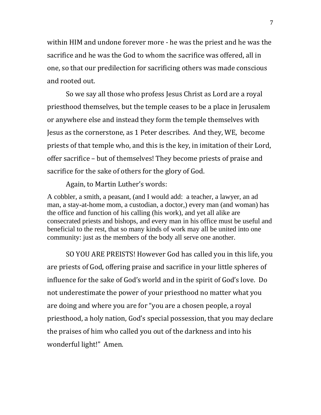within HIM and undone forever more - he was the priest and he was the sacrifice and he was the God to whom the sacrifice was offered, all in one, so that our predilection for sacrificing others was made conscious and rooted out.

So we say all those who profess Jesus Christ as Lord are a royal priesthood themselves, but the temple ceases to be a place in Jerusalem or anywhere else and instead they form the temple themselves with Jesus as the cornerstone, as 1 Peter describes. And they, WE, become priests of that temple who, and this is the key, in imitation of their Lord, offer sacrifice – but of themselves! They become priests of praise and sacrifice for the sake of others for the glory of God.

Again, to Martin Luther's words:

A cobbler, a smith, a peasant, (and I would add: a teacher, a lawyer, an ad man, a stay-at-home mom, a custodian, a doctor,) every man (and woman) has the office and function of his calling (his work), and yet all alike are consecrated priests and bishops, and every man in his office must be useful and beneficial to the rest, that so many kinds of work may all be united into one community: just as the members of the body all serve one another.

SO YOU ARE PREISTS! However God has called you in this life, you are priests of God, offering praise and sacrifice in your little spheres of influence for the sake of God's world and in the spirit of God's love. Do not underestimate the power of your priesthood no matter what you are doing and where you are for "you are a chosen people, a royal priesthood, a holy nation, God's special possession, that you may declare the praises of him who called you out of the darkness and into his wonderful light!" Amen.